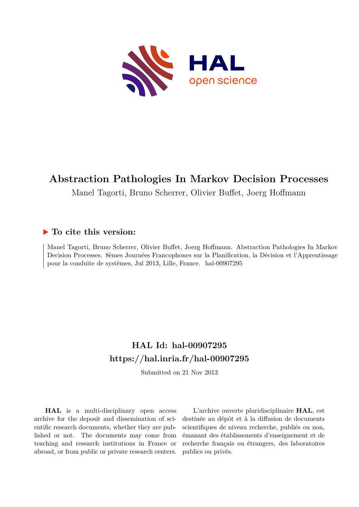

# **Abstraction Pathologies In Markov Decision Processes**

Manel Tagorti, Bruno Scherrer, Olivier Buffet, Joerg Hoffmann

# **To cite this version:**

Manel Tagorti, Bruno Scherrer, Olivier Buffet, Joerg Hoffmann. Abstraction Pathologies In Markov Decision Processes. 8èmes Journées Francophones sur la Planification, la Décision et l'Apprentissage pour la conduite de systèmes, Jul 2013, Lille, France. hal-00907295

# **HAL Id: hal-00907295 <https://hal.inria.fr/hal-00907295>**

Submitted on 21 Nov 2013

**HAL** is a multi-disciplinary open access archive for the deposit and dissemination of scientific research documents, whether they are published or not. The documents may come from teaching and research institutions in France or abroad, or from public or private research centers.

L'archive ouverte pluridisciplinaire **HAL**, est destinée au dépôt et à la diffusion de documents scientifiques de niveau recherche, publiés ou non, émanant des établissements d'enseignement et de recherche français ou étrangers, des laboratoires publics ou privés.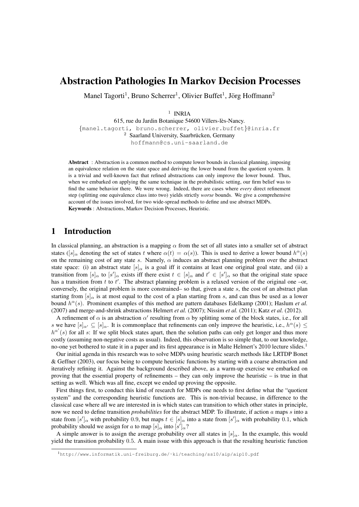# Abstraction Pathologies In Markov Decision Processes

Manel Tagorti<sup>1</sup>, Bruno Scherrer<sup>1</sup>, Olivier Buffet<sup>1</sup>, Jörg Hoffmann<sup>2</sup>

<sup>1</sup> INRIA

615, rue du Jardin Botanique 54600 Villers-les-Nancy. ` {manel.tagorti, bruno.scherrer, olivier.buffet}@inria.fr <sup>2</sup> Saarland University, Saarbrücken, Germany hoffmann@cs.uni-saarland.de

Abstract : Abstraction is a common method to compute lower bounds in classical planning, imposing an equivalence relation on the state space and deriving the lower bound from the quotient system. It is a trivial and well-known fact that refined abstractions can only improve the lower bound. Thus, when we embarked on applying the same technique in the probabilistic setting, our firm belief was to find the same behavior there. We were wrong. Indeed, there are cases where *every* direct refinement step (splitting one equivalence class into two) yields strictly *worse* bounds. We give a comprehensive account of the issues involved, for two wide-spread methods to define and use abstract MDPs. Keywords : Abstractions, Markov Decision Processes, Heuristic.

## 1 Introduction

In classical planning, an abstraction is a mapping  $\alpha$  from the set of all states into a smaller set of abstract states ( $[s]_\alpha$  denoting the set of states t where  $\alpha(t) = \alpha(s)$ ). This is used to derive a lower bound  $h^\alpha(s)$ on the remaining cost of any state s. Namely,  $\alpha$  induces an abstract planning problem over the abstract state space: (i) an abstract state  $[s]_{\alpha}$  is a goal iff it contains at least one original goal state, and (ii) a transition from  $[s]_{\alpha}$  to  $[s']_{\alpha}$  exists iff there exist  $t \in [s]_{\alpha}$  and  $t' \in [s']_{\alpha}$  so that the original state space has a transition from t to t'. The abstract planning problem is a relaxed version of the original one –or, conversely, the original problem is more constrained– so that, given a state  $s$ , the cost of an abstract plan starting from  $[s]_{\alpha}$  is at most equal to the cost of a plan starting from s, and can thus be used as a lower bound  $h^{\alpha}(s)$ . Prominent examples of this method are pattern databases Edelkamp (2001); Haslum *et al.* (2007) and merge-and-shrink abstractions Helmert *et al.* (2007); Nissim *et al.* (2011); Katz *et al.* (2012).

A refinement of  $\alpha$  is an abstraction  $\alpha'$  resulting from  $\alpha$  by splitting some of the block states, i.e., for all s we have  $[s]_{\alpha'} \subseteq [s]_{\alpha}$ . It is commonplace that refinements can only improve the heuristic, i.e.,  $h^{\alpha}(s) \le$  $h^{\alpha'}(s)$  for all s: If we split block states apart, then the solution paths can only get longer and thus more costly (assuming non-negative costs as usual). Indeed, this observation is so simple that, to our knowledge, no-one yet bothered to state it in a paper and its first appearance is in Malte Helmert's 2010 lecture slides.<sup>1</sup>

Our initial agenda in this research was to solve MDPs using heuristic search methods like LRTDP Bonet & Geffner (2003), our focus being to compute heuristic functions by starting with a coarse abstraction and iteratively refining it. Against the background described above, as a warm-up exercise we embarked on proving that the essential property of refinements – they can only improve the heuristic – is true in that setting as well. Which was all fine, except we ended up proving the opposite.

First things first, to conduct this kind of research for MDPs one needs to first define what the "quotient system" and the corresponding heuristic functions are. This is non-trivial because, in difference to the classical case where all we are interested in is which states can transition to which other states in principle, now we need to define transition *probabilities* for the abstract MDP. To illustrate, if action a maps s into a state from  $[s']_\alpha$  with probability 0.9, but maps  $t \in [s]_\alpha$  into a state from  $[s']_\alpha$  with probability 0.1, which probability should we assign for a to map  $[s]_{\alpha}$  into  $[s']_{\alpha}$ ?

A simple answer is to assign the average probability over all states in  $[s]_{\alpha}$ . In the example, this would yield the transition probability 0.5. A main issue with this approach is that the resulting heuristic function

<sup>1</sup>http://www.informatik.uni-freiburg.de/˜ki/teaching/ss10/aip/aip10.pdf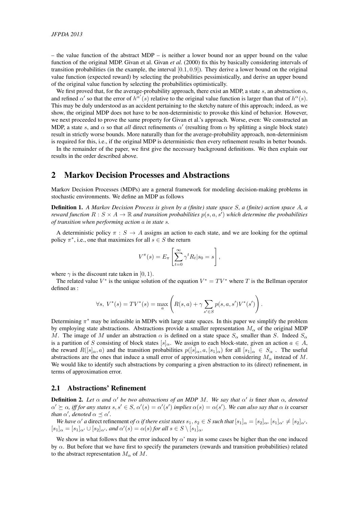– the value function of the abstract MDP – is neither a lower bound nor an upper bound on the value function of the original MDP. Givan et al. Givan *et al.* (2000) fix this by basically considering intervals of transition probabilities (in the example, the interval  $[0.1, 0.9]$ ). They derive a lower bound on the original value function (expected reward) by selecting the probabilities pessimistically, and derive an upper bound of the original value function by selecting the probabilities optimistically.

We first proved that, for the average-probability approach, there exist an MDP, a state s, an abstraction  $\alpha$ , and refined  $\alpha'$  so that the error of  $h^{\alpha'}(s)$  relative to the original value function is larger than that of  $h^{\alpha}(s)$ . This may be duly understood as an accident pertaining to the sketchy nature of this approach; indeed, as we show, the original MDP does not have to be non-deterministic to provoke this kind of behavior. However, we next proceeded to prove the same property for Givan et al.'s approach. Worse, even: We constructed an MDP, a state s, and  $\alpha$  so that *all* direct refinements  $\alpha'$  (resulting from  $\alpha$  by splitting a single block state) result in strictly worse bounds. More naturally than for the average-probability approach, non-determinism is required for this, i.e., if the original MDP is deterministic then every refinement results in better bounds.

In the remainder of the paper, we first give the necessary background definitions. We then explain our results in the order described above.

#### 2 Markov Decision Processes and Abstractions

Markov Decision Processes (MDPs) are a general framework for modeling decision-making problems in stochastic environments. We define an MDP as follows

Definition 1. *A Markov Decision Process is given by a (finite) state space* S*, a (finite) action space* A*, a reward function*  $R: S \times A \to \mathbb{R}$  and transition probabilities  $p(s, a, s')$  which determine the probabilities *of transition when performing action* a *in state* s*.*

A deterministic policy  $\pi : S \to A$  assigns an action to each state, and we are looking for the optimal policy  $\pi^*$ , i.e., one that maximizes for all  $s \in S$  the return

$$
V^{\pi}(s) = E_{\pi} \left[ \sum_{t=0}^{\infty} \gamma^{t} R_{t} | s_{0} = s \right],
$$

where  $\gamma$  is the discount rate taken in [0, 1).

The related value  $V^*$  is the unique solution of the equation  $V^* = TV^*$  where T is the Bellman operator defined as :

$$
\forall s, \ V^*(s) = TV^*(s) = \max_{a} \left( R(s, a) + \gamma \sum_{s' \in S} p(s, a, s') V^*(s') \right).
$$

Determining  $\pi^*$  may be infeasible in MDPs with large state spaces. In this paper we simplify the problem by employing state abstractions. Abstractions provide a smaller representation  $M_{\alpha}$  of the original MDP M. The image of M under an abstraction  $\alpha$  is defined on a state space  $S_{\alpha}$  smaller than S. Indeed  $S_{\alpha}$ is a partition of S consisting of block states  $[s]_{\alpha}$ . We assign to each block-state, given an action  $a \in A$ , the reward  $R([s]_{\alpha}, a)$  and the transition probabilities  $p([s]_{\alpha}, a, [s_1]_{\alpha})$  for all  $[s_1]_{\alpha} \in S_{\alpha}$ . The useful abstractions are the ones that induce a small error of approximation when considering  $M_{\alpha}$  instead of M. We would like to identify such abstractions by comparing a given abstraction to its (direct) refinement, in terms of approximation error.

#### 2.1 Abstractions' Refinement

**Definition 2.** Let  $\alpha$  and  $\alpha'$  be two abstractions of an MDP M. We say that  $\alpha'$  is finer than  $\alpha$ , denoted  $\alpha' \succeq \alpha$ , *iff for any states*  $s, s' \in S$ ,  $\alpha'(s) = \alpha'(s')$  *implies*  $\alpha(s) = \alpha(s')$ . We can also say that  $\alpha$  *is* coarser *than*  $\alpha'$ *, denoted*  $\alpha \preceq \alpha'$ *.* 

*We have*  $\alpha'$  *a* direct refinement *of*  $\alpha$  *if there exist states*  $s_1, s_2 \in S$  *such that*  $[s_1]_{\alpha} = [s_2]_{\alpha}$ ,  $[s_1]_{\alpha'} \neq [s_2]_{\alpha'}$ ,  $[s_1]_{\alpha} = [s_1]_{\alpha'} \cup [s_2]_{\alpha'}$ , and  $\alpha'(s) = \alpha(s)$  for all  $s \in S \setminus [s_1]_{\alpha}$ .

We show in what follows that the error induced by  $\alpha'$  may in some cases be higher than the one induced by  $\alpha$ . But before that we have first to specify the parameters (rewards and transition probabilities) related to the abstract representation  $M_{\alpha}$  of M.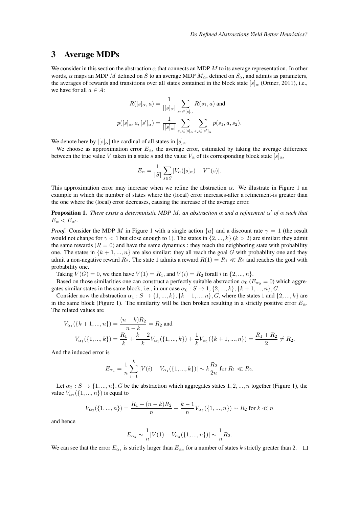#### 3 Average MDPs

We consider in this section the abstraction  $\alpha$  that connects an MDP M to its average representation. In other words,  $\alpha$  maps an MDP M defined on S to an average MDP  $M_{\alpha}$ , defined on  $S_{\alpha}$ , and admits as parameters, the averages of rewards and transitions over all states contained in the block state [s] $\alpha$  (Ortner, 2011), i.e., we have for all  $a \in A$ :

$$
R([s]_{\alpha}, a) = \frac{1}{|[s]_{\alpha}|} \sum_{s_1 \in [s]_{\alpha}} R(s_1, a) \text{ and}
$$

$$
p([s]_{\alpha}, a, [s']_{\alpha}) = \frac{1}{|[s]_{\alpha}|} \sum_{s_1 \in [s]_{\alpha}} \sum_{s_2 \in [s']_{\alpha}} p(s_1, a, s_2).
$$

We denote here by  $\left| \left[ s \right]_{\alpha} \right|$  the cardinal of all states in  $\left| s \right|_{\alpha}$ .

We choose as approximation error  $E_{\alpha}$ , the average error, estimated by taking the average difference between the true value V taken in a state s and the value  $V_\alpha$  of its corresponding block state  $[s]_\alpha$ ,

$$
E_{\alpha} = \frac{1}{|S|} \sum_{s \in S} |V_{\alpha}([s]_{\alpha}) - V^*(s)|.
$$

This approximation error may increase when we refine the abstraction  $\alpha$ . We illustrate in Figure 1 and example in which the number of states where the (local) error increases-after a refinement-is greater than the one where the (local) error decreases, causing the increase of the average error.

**Proposition 1.** *There exists a deterministic MDP M, an abstraction*  $\alpha$  *and a refinement*  $\alpha'$  *of*  $\alpha$  *such that*  $E_{\alpha} < E_{\alpha'}$ .

*Proof.* Consider the MDP M in Figure 1 with a single action  $\{a\}$  and a discount rate  $\gamma = 1$  (the result would not change for  $\gamma < 1$  but close enough to 1). The states in  $\{2, ..., k\}$  ( $k > 2$ ) are similar: they admit the same rewards ( $R = 0$ ) and have the same dynamics : they reach the neighboring state with probability one. The states in  $\{k+1,...,n\}$  are also similar: they all reach the goal G with probability one and they admit a non-negative reward  $R_2$ . The state 1 admits a reward  $R(1) = R_1 \ll R_2$  and reaches the goal with probability one.

Taking  $V(G) = 0$ , we then have  $V(1) = R_1$ , and  $V(i) = R_2$  forall i in  $\{2, ..., n\}$ .

Based on those similarities one can construct a perfectly suitable abstraction  $\alpha_0$  ( $E_{\alpha_0} = 0$ ) which aggregates similar states in the same block, i.e., in our case  $\alpha_0 : S \to 1, \{2, ..., k\}, \{k+1, ..., n\}, G$ .

Consider now the abstraction  $\alpha_1 : S \to \{1, ..., k\}, \{k+1, ..., n\}, G$ , where the states 1 and  $\{2, ..., k\}$  are in the same block (Figure 1). The similarity will be then broken resulting in a strictly positive error  $E_\alpha$ . The related values are

$$
V_{\alpha_1}(\{k+1,...,n\}) = \frac{(n-k)R_2}{n-k} = R_2 \text{ and}
$$
  

$$
V_{\alpha_1}(\{1,...,k\}) = \frac{R_1}{k} + \frac{k-2}{k}V_{\alpha_1}(\{1,...,k\}) + \frac{1}{k}V_{\alpha_1}(\{k+1,...,n\}) = \frac{R_1 + R_2}{2} \neq R_2.
$$

And the induced error is

$$
E_{\alpha_1} = \frac{1}{n} \sum_{i=1}^k |V(i) - V_{\alpha_1}(\{1, ..., k\})| \sim k \frac{R_2}{2n} \text{ for } R_1 \ll R_2.
$$

Let  $\alpha_2 : S \to \{1, ..., n\}$ , G be the abstraction which aggregates states 1, 2, ..., n together (Figure 1), the value  $V_{\alpha_2}(\{1, ..., n\})$  is equal to

$$
V_{\alpha_2}(\{1, ..., n\}) = \frac{R_1 + (n - k)R_2}{n} + \frac{k - 1}{n}V_{\alpha_2}(\{1, ..., n\}) \sim R_2 \text{ for } k \ll n
$$

and hence

$$
E_{\alpha_2} \sim \frac{1}{n} |V(1) - V_{\alpha_2}(\{1, ..., n\})| \sim \frac{1}{n} R_2.
$$

We can see that the error  $E_{\alpha_1}$  is strictly larger than  $E_{\alpha_2}$  for a number of states k strictly greater than 2.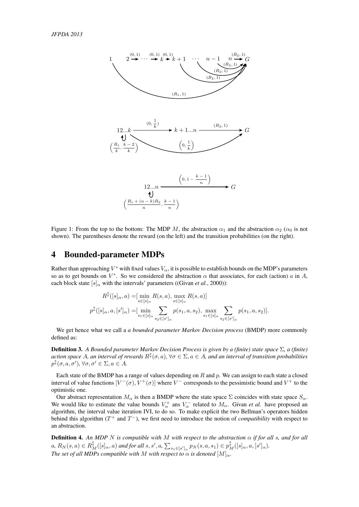

Figure 1: From the top to the bottom: The MDP M, the abstraction  $\alpha_1$  and the abstraction  $\alpha_2$  ( $\alpha_0$  is not shown). The parentheses denote the reward (on the left) and the transition probabilities (on the right).

#### 4 Bounded-parameter MDPs

Rather than approaching  $V^*$  with fixed values  $V_\alpha$ , it is possible to establish bounds on the MDP's parameters so as to get bounds on  $V^*$ . So we considered the abstraction  $\alpha$  that associates, for each (action)  $a$  in  $A$ , each block state  $[s]_{\alpha}$  with the intervals' parameters ((Givan *et al.*, 2000)):

$$
R^{\updownarrow}([s]_{\alpha}, a) = [\min_{s \in [s]_{\alpha}} R(s, a), \max_{s \in [s]_{\alpha}} R(s, a)]
$$
  

$$
p^{\updownarrow}([s]_{\alpha}, a, [s']_{\alpha}) = [\min_{s_1 \in [s]_{\alpha}} \sum_{s_2 \in [s']_{\alpha}} p(s_1, a, s_2), \max_{s_1 \in [s]_{\alpha}} \sum_{s_2 \in [s']_{\alpha}} p(s_1, a, s_2)].
$$

We get hence what we call a *a bounded parameter Markov Decision process* (BMDP) more commonly defined as:

Definition 3. *A Bounded parameter Markov Decision Process is given by a (finite) state space* Σ*, a (finite)* action space A, an interval of rewards  $R^{\updownarrow}(\sigma,a)$ ,  $\forall\sigma\in\Sigma, a\in A$ , and an interval of transition probabilities  $p^{\updownarrow}(\sigma, a, \sigma')$ ,  $\forall \sigma, \sigma' \in \Sigma, a \in A$ .

Each state of the BMDP has a range of values depending on  $R$  and  $p$ . We can assign to each state a closed interval of value functions  $[V^-(\sigma), V^+(\sigma)]$  where  $V^-$  corresponds to the pessimistic bound and  $V^+$  to the optimistic one.

Our abstract representation  $M_{\alpha}$  is then a BMDP where the state space  $\Sigma$  coincides with state space  $S_{\alpha}$ . We would like to estimate the value bounds  $V_{\alpha}^+$  ans  $V_{\alpha}^-$  related to  $M_{\alpha}$ . Givan *et al.* have proposed an algorithm, the interval value iteration IVI, to do so. To make explicit the two Bellman's operators hidden behind this algorithm  $(T^+$  and  $T^-$ ), we first need to introduce the notion of *compatibility* with respect to an abstraction.

Definition 4. *An MDP* N *is compatible with* M *with respect to the abstraction* α *if for all* s*, and for all*  $a, R_N(s,a)\in R_M^{\updownarrow}([s]_{\alpha},a)$  and for all  $s,s',a$ ,  $\sum_{s_1\in [s']_{\alpha}}p_N(s,a,s_1)\in p_M^{\updownarrow}([s]_{\alpha},a,[s']_{\alpha}).$ *The set of all MDPs compatible with* M *with respect to*  $\alpha$  *is denoted*  $[M]_{\alpha}$ *.*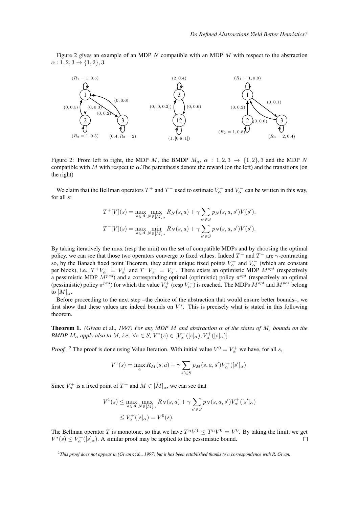Figure 2 gives an example of an MDP  $N$  compatible with an MDP  $M$  with respect to the abstraction  $\alpha$  : 1, 2, 3  $\rightarrow$  {1, 2}, 3.



Figure 2: From left to right, the MDP M, the BMDP  $M_{\alpha}$ ,  $\alpha$  : 1, 2, 3  $\rightarrow$  {1, 2}, 3 and the MDP N compatible with M with respect to  $\alpha$ . The parenthesis denote the reward (on the left) and the transitions (on the right)

We claim that the Bellman operators  $T^+$  and  $T^-$  used to estimate  $V^+_\alpha$  and  $V^-_\alpha$  can be written in this way, for all s:

$$
T^{+}[V](s) = \max_{a \in A} \max_{N \in [M]_{\alpha}} R_{N}(s, a) + \gamma \sum_{s' \in S} p_{N}(s, a, s')V(s'),
$$
  

$$
T^{-}[V](s) = \max_{a \in A} \min_{N \in [M]_{\alpha}} R_{N}(s, a) + \gamma \sum_{s' \in S} p_{N}(s, a, s')V(s').
$$

By taking iteratively the max (resp the min) on the set of compatible MDPs and by choosing the optimal policy, we can see that those two operators converge to fixed values. Indeed  $T^+$  and  $T^-$  are  $\gamma$ -contracting so, by the Banach fixed point Theorem, they admit unique fixed points  $V^+_\alpha$  and  $V^-_\alpha$  (which are constant per block), i.e.,  $T^+V^+_\alpha = V^+_\alpha$  and  $T^-V^-_\alpha = V^-_\alpha$ . There exists an optimistic MDP  $M^{opt}$  (respectively a pessimistic MDP  $M^{pes}$ ) and a corresponding optimal (optimistic) policy  $\pi^{opt}$  (respectively an optimal (pessimistic) policy  $\pi^{pes}$ ) for which the value  $V^+_\alpha$  (resp  $V^-_\alpha$ ) is reached. The MDPs  $M^{opt}$  and  $M^{pes}$  belong to  $[M]_{\alpha}$ .

Before proceeding to the next step –the choice of the abstraction that would ensure better bounds–, we first show that these values are indeed bounds on  $V^*$ . This is precisely what is stated in this following theorem.

**Theorem 1.** *(Givan* et al., 1997) For any MDP M and abstraction  $\alpha$  *of the states of* M, bounds on the *BMDP*  $M_{\alpha}$  *apply also to*  $M$ *, i.e.,*  $\forall s \in S$ *,*  $V^*(s) \in [V_{\alpha}^-([s]_{\alpha}), V_{\alpha}^+([s]_{\alpha})]$ *.* 

*Proof.* <sup>2</sup> The proof is done using Value Iteration. With initial value  $V^0 = V^+_{\alpha}$  we have, for all s,

$$
V^{1}(s) = \max_{a} R_{M}(s, a) + \gamma \sum_{s' \in S} p_{M}(s, a, s') V_{\alpha}^{+}([s']_{\alpha}).
$$

Since  $V^+_{\alpha}$  is a fixed point of  $T^+$  and  $M \in [M]_{\alpha}$ , we can see that

$$
V^{1}(s) \le \max_{a \in A} \max_{N \in [M]_{\alpha}} R_{N}(s, a) + \gamma \sum_{s' \in S} p_{N}(s, a, s') V_{\alpha}^{+}([s']_{\alpha})
$$
  

$$
\le V_{\alpha}^{+}([s]_{\alpha}) = V^{0}(s).
$$

The Bellman operator T is monotone, so that we have  $T^nV^1 \leq T^nV^0 = V^0$ . By taking the limit, we get  $V^*(s) \leq V^+_{\alpha}([s]_{\alpha})$ . A similar proof may be applied to the pessimistic bound.  $\Box$ 

<sup>2</sup>*This proof does not appear in (Givan* et al.*, 1997) but it has been established thanks to a correspondence with R. Givan.*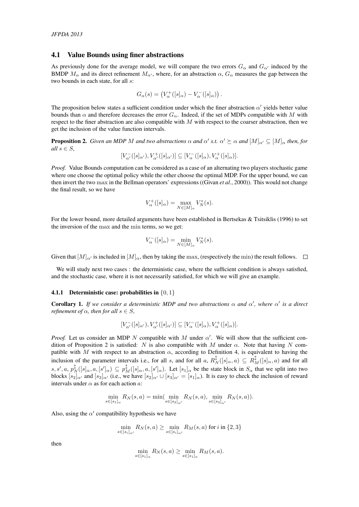#### 4.1 Value Bounds using finer abstractions

As previously done for the average model, we will compare the two errors  $G_{\alpha}$  and  $G_{\alpha'}$  induced by the BMDP  $M_{\alpha}$  and its direct refinement  $M_{\alpha'}$ , where, for an abstraction  $\alpha$ ,  $G_{\alpha}$  measures the gap between the two bounds in each state, for all s:

$$
G_{\alpha}(s) = (V_{\alpha}^+([s]_{\alpha}) - V_{\alpha}^-([s]_{\alpha})).
$$

The proposition below states a sufficient condition under which the finer abstraction  $\alpha'$  yields better value bounds than  $\alpha$  and therefore decreases the error  $G_{\alpha}$ . Indeed, if the set of MDPs compatible with M with respect to the finer abstraction are also compatible with  $M$  with respect to the coarser abstraction, then we get the inclusion of the value function intervals.

**Proposition 2.** *Given an MDP M and two abstractions*  $\alpha$  *and*  $\alpha'$  *s.t.*  $\alpha' \succeq \alpha$  *and*  $[M]_{\alpha'} \subseteq [M]_{\alpha}$  *then, for all*  $s \in S$ *,* 

$$
[V^-_{\alpha'}([s]_{\alpha'}),V^+_{\alpha'}([s]_{\alpha'})]\subseteq[V^-_\alpha([s]_\alpha),V^+_\alpha([s]_\alpha)].
$$

*Proof.* Value Bounds computation can be considered as a case of an alternating two players stochastic game where one choose the optimal policy while the other choose the optimal MDP. For the upper bound, we can then invert the two max in the Bellman operators' expressions ((Givan *et al.*, 2000)). This would not change the final result, so we have

$$
V_{\alpha}^{+}([s]_{\alpha}) = \max_{N \in [M]_{\alpha}} V_{N}^{*}(s).
$$

For the lower bound, more detailed arguments have been established in Bertsekas & Tsitsiklis (1996) to set the inversion of the max and the min terms, so we get:

$$
V_{\alpha}^{-}([s]_{\alpha}) = \min_{N \in [M]_{\alpha}} V_{N}^{*}(s).
$$

Given that  $[M]_{\alpha'}$  is included in  $[M]_{\alpha}$ , then by taking the max, (respectively the min) the result follows.  $\square$ 

We will study next two cases : the deterministic case, where the sufficient condition is always satisfied, and the stochastic case, where it is not necessarily satisfied, for which we will give an example.

#### **4.1.1** Deterministic case: probabilities in  $\{0, 1\}$

**Corollary 1.** If we consider a deterministic MDP and two abstractions  $\alpha$  and  $\alpha'$ , where  $\alpha'$  is a direct *refinement of*  $\alpha$ *, then for all*  $s \in S$ *,* 

$$
[V^-_{\alpha'}([s]_{\alpha'}),V^+_{\alpha'}([s]_{\alpha'})]\subseteq[V^-_\alpha([s]_\alpha),V^+_\alpha([s]_\alpha)].
$$

*Proof.* Let us consider an MDP N compatible with M under  $\alpha'$ . We will show that the sufficient condition of Proposition 2 is satisfied: N is also compatible with M under  $\alpha$ . Note that having N compatible with M with respect to an abstraction  $\alpha$ , according to Definition 4, is equivalent to having the inclusion of the parameter intervals i.e., for all s, and for all a,  $R_N^{\updownarrow}([s]_{\alpha}, a) \subseteq R_M^{\updownarrow}([s]_{\alpha}, a)$  and for all  $s, s', a, p_N^{\updownarrow}([s]_{\alpha}, a, [s']_{\alpha}) \subseteq p_M^{\updownarrow}([s]_{\alpha}, a, [s']_{\alpha})$ . Let  $[s_1]_{\alpha}$  be the state block in  $S_{\alpha}$  that we split into two blocks  $[s_2]_{\alpha'}$  and  $[s_3]_{\alpha'}$  (i.e., we have  $[s_2]_{\alpha'} \cup [s_3]_{\alpha'} = [s_1]_{\alpha}$ ). It is easy to check the inclusion of reward intervals under  $\alpha$  as for each action a:

$$
\min_{s \in [s_1]_\alpha} R_N(s, a) = \min(\min_{s \in [s_2]_\alpha'} R_N(s, a), \min_{s \in [s_3]_\alpha'} R_N(s, a)).
$$

Also, using the  $\alpha'$  compatibility hypothesis we have

$$
\min_{s \in [s_i]_{\alpha'}} R_N(s, a) \ge \min_{s \in [s_i]_{\alpha'}} R_M(s, a) \text{ for } i \text{ in } \{2, 3\}
$$

then

$$
\min_{s \in [s_1]_\alpha} R_N(s, a) \ge \min_{s \in [s_1]_\alpha} R_M(s, a).
$$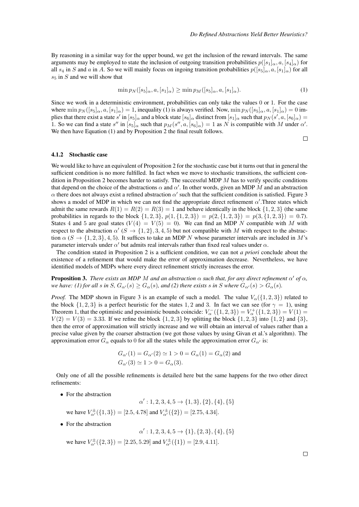By reasoning in a similar way for the upper bound, we get the inclusion of the reward intervals. The same arguments may be employed to state the inclusion of outgoing transition probabilities  $p([s_1]_\alpha, a, [s_4]_\alpha)$  for all  $s_4$  in S and a in A. So we will mainly focus on ingoing transition probabilities  $p([s_5]_{\alpha}, a, [s_1]_{\alpha})$  for all  $s<sub>5</sub>$  in S and we will show that

$$
\min p_N([s_5]_\alpha, a, [s_1]_\alpha) \ge \min p_M([s_5]_\alpha, a, [s_1]_\alpha). \tag{1}
$$

Since we work in a deterministic environment, probabilities can only take the values 0 or 1. For the case where  $\min p_N(\lbrace s_5 \rbrace_\alpha, a, \lbrace s_1 \rbrace_\alpha) = 1$ , inequality (1) is always verified. Now,  $\min p_N(\lbrace s_5 \rbrace_\alpha, a, \lbrace s_1 \rbrace_\alpha) = 0$  implies that there exist a state  $s'$  in  $[s_5]_\alpha$  and a block state  $[s_6]_\alpha$  distinct from  $[s_1]_\alpha$  such that  $p_N(s',a,[s_6]_\alpha)=$ 1. So we can find a state s'' in  $[s_5]_{\alpha}$  such that  $p_M(s'', a, [s_6]_{\alpha}) = 1$  as N is compatible with M under  $\alpha'$ . We then have Equation (1) and by Proposition 2 the final result follows.

 $\Box$ 

#### 4.1.2 Stochastic case

We would like to have an equivalent of Proposition 2 for the stochastic case but it turns out that in general the sufficient condition is no more fulfilled. In fact when we move to stochastic transitions, the sufficient condition in Proposition 2 becomes harder to satisfy. The successful MDP  $M$  has to verify specific conditions that depend on the choice of the abstractions  $\alpha$  and  $\alpha'$ . In other words, given an MDP M and an abstraction  $\alpha$  there does not always exist a refined abstraction  $\alpha'$  such that the sufficient condition is satisfied. Figure 3 shows a model of MDP in which we can not find the appropriate direct refinement  $\alpha'$ . Three states which admit the same rewards  $R(1) = R(2) = R(3) = 1$  and behave identically in the block  $\{1, 2, 3\}$  (the same probabilities in regards to the block  $\{1, 2, 3\}$ ,  $p(1, \{1, 2, 3\}) = p(2, \{1, 2, 3\}) = p(3, \{1, 2, 3\}) = 0.7$ . States 4 and 5 are goal states ( $V(4) = V(5) = 0$ ). We can find an MDP N compatible with M with respect to the abstraction  $\alpha'$  ( $S \to \{1,2\},3,4,5$ ) but not compatible with M with respect to the abstraction  $\alpha$  (S  $\rightarrow$  {1, 2, 3}, 4, 5). It suffices to take an MDP N whose parameter intervals are included in M's parameter intervals under  $\alpha'$  but admits real intervals rather than fixed real values under  $\alpha$ .

The condition stated in Proposition 2 is a sufficient condition, we can not *a priori* conclude about the existence of a refinement that would make the error of approximation decrease. Nevertheless, we have identified models of MDPs where every direct refinement strictly increases the error.

**Proposition 3.** *There exists an MDP M and an abstraction*  $\alpha$  *such that, for any direct refinement*  $\alpha'$  *of*  $\alpha$ *, we have:* (1) for all s in S,  $G_{\alpha}(s) \geq G_{\alpha}(s)$ , and (2) there exists s in S where  $G_{\alpha}(s) > G_{\alpha}(s)$ .

*Proof.* The MDP shown in Figure 3 is an example of such a model. The value  $V_{\alpha}(\{1, 2, 3\})$  related to the block  $\{1, 2, 3\}$  is a perfect heuristic for the states 1, 2 and 3. In fact we can see (for  $\gamma = 1$ ), using Theorem 1, that the optimistic and pessimistic bounds coincide:  $V_{\alpha}^{-}(\{1,2,3\}) = V_{\alpha}^{+}(\{1,2,3\}) = V(1) =$  $V(2) = V(3) = 3.33$ . If we refine the block  $\{1, 2, 3\}$  by splitting the block  $\{1, 2, 3\}$  into  $\{1, 2\}$  and  $\{3\}$ , then the error of approximation will strictly increase and we will obtain an interval of values rather than a precise value given by the coarser abstraction (we got those values by using Givan et al.'s algorithm). The approximation error  $G_{\alpha}$  equals to 0 for all the states while the approximation error  $G_{\alpha'}$  is:

$$
G_{\alpha'}(1) = G_{\alpha'}(2) \simeq 1 > 0 = G_{\alpha}(1) = G_{\alpha}(2)
$$
 and  
 $G_{\alpha'}(3) \simeq 1 > 0 = G_{\alpha}(3)$ .

Only one of all the possible refinements is detailed here but the same happens for the two other direct refinements:

• For the abstraction

$$
\alpha': 1, 2, 3, 4, 5 \to \{1, 3\}, \{2\}, \{4\}, \{5\}
$$
 we have  $V_{\alpha'}^{\pm}(\{1, 3\}) = [2.5, 4.78]$  and  $V_{\alpha'}^{\pm}(\{2\}) = [2.75, 4.34]$ .

- For the abstraction
	- $\alpha' : 1, 2, 3, 4, 5 \rightarrow \{1\}, \{2, 3\}, \{4\}, \{5\}$ we have  $V_{\alpha'}^{\pm}(\{2,3\}) = [2.25, 5.29]$  and  $V_{\alpha'}^{\pm}(\{1\}) = [2.9, 4.11]$ .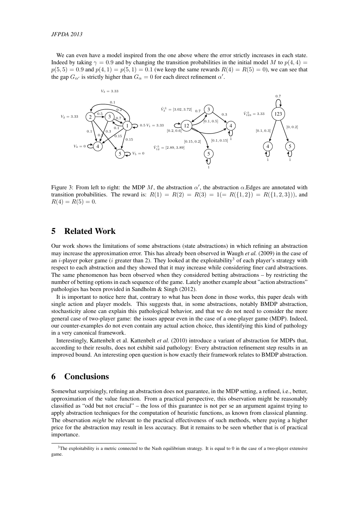We can even have a model inspired from the one above where the error strictly increases in each state. Indeed by taking  $\gamma = 0.9$  and by changing the transition probabilities in the initial model M to  $p(4, 4)$  $p(5, 5) = 0.9$  and  $p(4, 1) = p(5, 1) = 0.1$  (we keep the same rewards  $R(4) = R(5) = 0$ ), we can see that the gap  $G_{\alpha'}$  is strictly higher than  $G_{\alpha} = 0$  for each direct refinement  $\alpha'$ .



Figure 3: From left to right: the MDP M, the abstraction  $\alpha'$ , the abstraction  $\alpha$ . Edges are annotated with transition probabilities. The reward is:  $R(1) = R(2) = R(3) = 1 (= R({1, 2}) = R({1, 2, 3})$ , and  $R(4) = R(5) = 0.$ 

## 5 Related Work

Our work shows the limitations of some abstractions (state abstractions) in which refining an abstraction may increase the approximation error. This has already been observed in Waugh *et al.* (2009) in the case of an *i*-player poker game (*i* greater than 2). They looked at the exploitability<sup>3</sup> of each player's strategy with respect to each abstraction and they showed that it may increase while considering finer card abstractions. The same phenomenon has been observed when they considered betting abstractions – by restricting the number of betting options in each sequence of the game. Lately another example about "action abstractions" pathologies has been provided in Sandholm & Singh (2012).

It is important to notice here that, contrary to what has been done in those works, this paper deals with single action and player models. This suggests that, in some abstractions, notably BMDP abstraction, stochasticity alone can explain this pathological behavior, and that we do not need to consider the more general case of two-player game: the issues appear even in the case of a one-player game (MDP). Indeed, our counter-examples do not even contain any actual action choice, thus identifying this kind of pathology in a very canonical framework.

Interestingly, Kattenbelt et al. Kattenbelt *et al.* (2010) introduce a variant of abstraction for MDPs that, according to their results, does not exhibit said pathology: Every abstraction refinement step results in an improved bound. An interesting open question is how exactly their framework relates to BMDP abstraction.

### 6 Conclusions

Somewhat surprisingly, refining an abstraction does not guarantee, in the MDP setting, a refined, i.e., better, approximation of the value function. From a practical perspective, this observation might be reasonably classified as "odd but not crucial" – the loss of this guarantee is not per se an argument against trying to apply abstraction techniques for the computation of heuristic functions, as known from classical planning. The observation *might* be relevant to the practical effectiveness of such methods, where paying a higher price for the abstraction may result in less accuracy. But it remains to be seen whether that is of practical importance.

<sup>&</sup>lt;sup>3</sup>The exploitability is a metric connected to the Nash equilibrium strategy. It is equal to 0 in the case of a two-player extensive game.